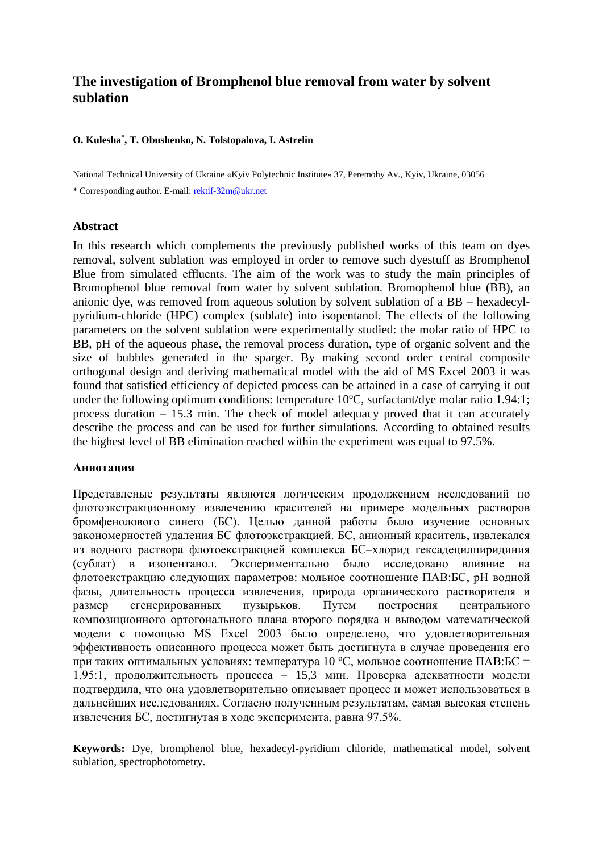# **The investigation of Bromphenol blue removal from water by solvent sublation**

## **O. Kulesha\* , T. Obushenko, N. Tolstopalova, I. Astrelin**

National Technical University of Ukraine «Kyiv Polytechnic Institute» 37, Peremohy Av., Kyiv, Ukraine, 03056 \* Corresponding author. E-mail: [rektif-32m@ukr.net](mailto:rektif-32m@ukr.net)

#### **Abstract**

In this research which complements the previously published works of this team on dyes removal, solvent sublation was employed in order to remove such dyestuff as Bromphenol Blue from simulated effluents. The aim of the work was to study the main principles of Bromophenol blue removal from water by solvent sublation. Bromophenol blue (BB), an anionic dye, was removed from aqueous solution by solvent sublation of a BB – hexadecylpyridium-chloride (HPC) complex (sublate) into isopentanol. The effects of the following parameters on the solvent sublation were experimentally studied: the molar ratio of HPC to BB, pH of the aqueous phase, the removal process duration, type of organic solvent and the size of bubbles generated in the sparger. By making second order central composite orthogonal design and deriving mathematical model with the aid of MS Excel 2003 it was found that satisfied efficiency of depicted process can be attained in a case of carrying it out under the following optimum conditions: temperature 10°C, surfactant/dye molar ratio 1.94:1; process duration – 15.3 min. The check of model adequacy proved that it can accurately describe the process and can be used for further simulations. According to obtained results the highest level of BB elimination reached within the experiment was equal to 97.5%.

## **Аннотация**

Представленые результаты являются логическим продолжением исследований по флотоэкстракционному извлечению красителей на примере модельных растворов бромфенолового синего (БС). Целью данной работы было изучение основных закономерностей удаления БС флотоэкстракцией. БС, анионный краситель, извлекался из водного раствора флотоекстракцией комплекса БС–хлорид гексадецилпиридиния (сублат) в изопентанол. Экспериментально было исследовано влияние на флотоекстракцию следующих параметров: мольное соотношение ПАВ:БС, рН водной фазы, длительность процесса извлечения, природа органического растворителя и размер сгенерированных пузырьков. Путем построения центрального композиционного ортогонального плана второго порядка и выводом математической модели с помощью MS Excel 2003 было определено, что удовлетворительная эффективность описанного процесса может быть достигнута в случае проведения его при таких оптимальных условиях: температура  $10\text{ °C}$ , мольное соотношение ПАВ:БС = 1,95:1, продолжительность процесса – 15,3 мин. Проверка адекватности модели подтвердила, что она удовлетворительно описывает процесс и может использоваться в дальнейших исследованиях. Согласно полученным результатам, самая высокая степень извлечения БС, достигнутая в ходе эксперимента, равна 97,5%.

**Keywords:** Dye, bromphenol blue, hexadecyl-pyridium chloride, mathematical model, solvent sublation, spectrophotometry.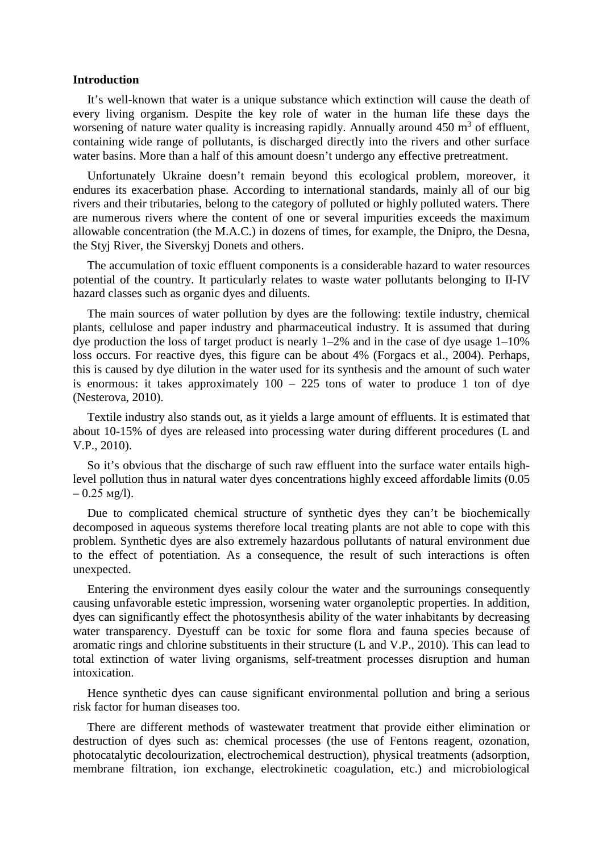## **Introduction**

It's well-known that water is a unique substance which extinction will cause the death of every living organism. Despite the key role of water in the human life these days the worsening of nature water quality is increasing rapidly. Annually around  $450 \text{ m}^3$  of effluent, containing wide range of pollutants, is discharged directly into the rivers and other surface water basins. More than a half of this amount doesn't undergo any effective pretreatment.

Unfortunately Ukraine doesn't remain beyond this ecological problem, moreover, it endures its exacerbation phase. According to international standards, mainly all of our big rivers and their tributaries, belong to the category of polluted or highly polluted waters. There are numerous rivers where the content of one or several impurities exceeds the maximum allowable concentration (the M.A.C.) in dozens of times, for example, the Dnipro, the Desna, the Styj River, the Siverskyj Donets and others.

The accumulation of toxic effluent components is a considerable hazard to water resources potential of the country. It particularly relates to waste water pollutants belonging to II-IV hazard classes such as organic dyes and diluents.

The main sources of water pollution by dyes are the following: textile industry, chemical plants, cellulose and paper industry and pharmaceutical industry. It is assumed that during dye production the loss of target product is nearly 1–2% and in the case of dye usage 1–10% loss occurs. For reactive dyes, this figure can be about 4% (Forgacs et al., 2004). Perhaps, this is caused by dye dilution in the water used for its synthesis and the amount of such water is enormous: it takes approximately  $100 - 225$  tons of water to produce 1 ton of dye (Nesterova, 2010).

Textile industry also stands out, as it yields a large amount of effluents. It is estimated that about 10-15% of dyes are released into processing water during different procedures (L and V.P., 2010).

So it's obvious that the discharge of such raw effluent into the surface water entails highlevel pollution thus in natural water dyes concentrations highly exceed affordable limits (0.05  $-0.25$  Mg/l).

Due to complicated chemical structure of synthetic dyes they can't be biochemically decomposed in aqueous systems therefore local treating plants are not able to cope with this problem. Synthetic dyes are also extremely hazardous pollutants of natural environment due to the effect of potentiation. As a consequence, the result of such interactions is often unexpected.

Entering the environment dyes easily colour the water and the surrounings consequently causing unfavorable estetic impression, worsening water organoleptic properties. In addition, dyes can significantly effect the photosynthesis ability of the water inhabitants by decreasing water transparency. Dyestuff can be toxic for some flora and fauna species because of aromatic rings and chlorine substituents in their structure (L and V.P., 2010). This can lead to total extinction of water living organisms, self-treatment processes disruption and human intoxication.

Hence synthetic dyes can cause significant environmental pollution and bring a serious risk factor for human diseases too.

There are different methods of wastewater treatment that provide either elimination or destruction of dyes such as: chemical processes (the use of Fentons reagent, ozonation, photocatalytic decolourization, electrochemical destruction), physical treatments (adsorption, membrane filtration, ion exchange, electrokinetic coagulation, etc.) and microbiological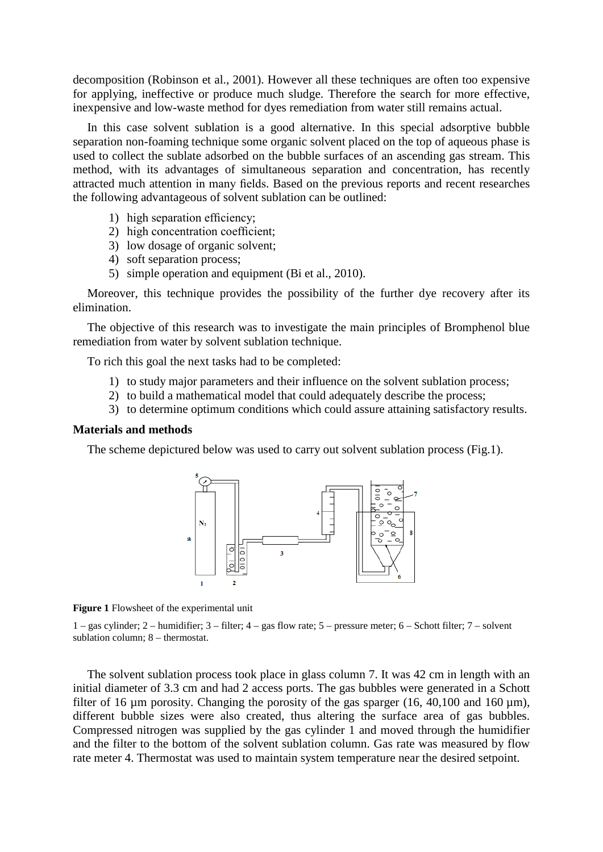decomposition (Robinson et al., 2001). However all these techniques are often too expensive for applying, ineffective or produce much sludge. Therefore the search for more effective, inexpensive and low-waste method for dyes remediation from water still remains actual.

In this case solvent sublation is a good alternative. In this special adsorptive bubble separation non-foaming technique some organic solvent placed on the top of aqueous phase is used to collect the sublate adsorbed on the bubble surfaces of an ascending gas stream. This method, with its advantages of simultaneous separation and concentration, has recently attracted much attention in many fields. Based on the previous reports and recent researches the following advantageous of solvent sublation can be outlined:

- 1) high separation efficiency;
- 2) high concentration coefficient;
- 3) low dosage of organic solvent;
- 4) soft separation process;
- 5) simple operation and equipment (Bi et al., 2010).

Moreover, this technique provides the possibility of the further dye recovery after its elimination.

The objective of this research was to investigate the main principles of Bromphenol blue remediation from water by solvent sublation technique.

To rich this goal the next tasks had to be completed:

- 1) to study major parameters and their influence on the solvent sublation process;
- 2) to build a mathematical model that could adequately describe the process;
- 3) to determine optimum conditions which could assure attaining satisfactory results.

## **Materials and methods**

The scheme depictured below was used to carry out solvent sublation process (Fig.1).



**Figure 1** Flowsheet of the experimental unit

1 – gas cylinder; 2 – humidifier; 3 – filter; 4 – gas flow rate; 5 – pressure meter; 6 – Schott filter; 7 – solvent sublation column; 8 – thermostat.

The solvent sublation process took place in glass column 7. It was 42 cm in length with an initial diameter of 3.3 cm and had 2 access ports. The gas bubbles were generated in a Schott filter of 16  $\mu$ m porosity. Changing the porosity of the gas sparger (16, 40,100 and 160  $\mu$ m), different bubble sizes were also created, thus altering the surface area of gas bubbles. Compressed nitrogen was supplied by the gas cylinder 1 and moved through the humidifier and the filter to the bottom of the solvent sublation column. Gas rate was measured by flow rate meter 4. Thermostat was used to maintain system temperature near the desired setpoint.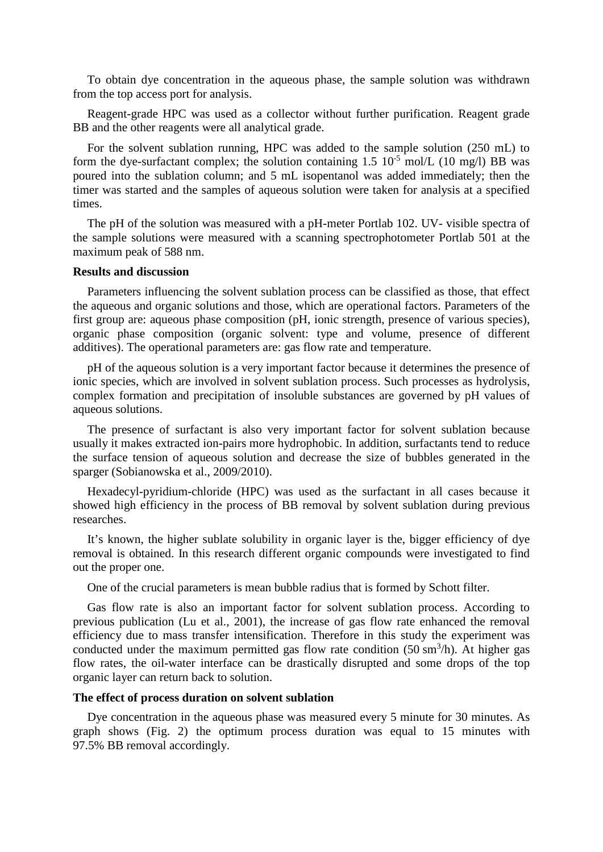To obtain dye concentration in the aqueous phase, the sample solution was withdrawn from the top access port for analysis.

Reagent-grade HPC was used as a collector without further purification. Reagent grade BB and the other reagents were all analytical grade.

For the solvent sublation running, HPC was added to the sample solution (250 mL) to form the dye-surfactant complex; the solution containing  $1.5 \times 10^{-5}$  mol/L (10 mg/l) BB was poured into the sublation column; and 5 mL isopentanol was added immediately; then the timer was started and the samples of aqueous solution were taken for analysis at a specified times.

The pH of the solution was measured with a pH-meter Portlab 102. UV- visible spectra of the sample solutions were measured with a scanning spectrophotometer Portlab 501 at the maximum peak of 588 nm.

#### **Results and discussion**

Parameters influencing the solvent sublation process can be classified as those, that effect the aqueous and organic solutions and those, which are operational factors. Parameters of the first group are: aqueous phase composition (pH, ionic strength, presence of various species), organic phase composition (organic solvent: type and volume, presence of different additives). The operational parameters are: gas flow rate and temperature.

pH of the aqueous solution is a very important factor because it determines the presence of ionic species, which are involved in solvent sublation process. Such processes as hydrolysis, complex formation and precipitation of insoluble substances are governed by pH values of aqueous solutions.

The presence of surfactant is also very important factor for solvent sublation because usually it makes extracted ion-pairs more hydrophobic. In addition, surfactants tend to reduce the surface tension of aqueous solution and decrease the size of bubbles generated in the sparger (Sobianowska et al., 2009/2010).

Hexadecyl-pyridium-chloride (HPC) was used as the surfactant in all cases because it showed high efficiency in the process of BB removal by solvent sublation during previous researches.

It's known, the higher sublate solubility in organic layer is the, bigger efficiency of dye removal is obtained. In this research different organic compounds were investigated to find out the proper one.

One of the crucial parameters is mean bubble radius that is formed by Schott filter.

Gas flow rate is also an important factor for solvent sublation process. According to previous publication (Lu et al., 2001), the increase of gas flow rate enhanced the removal efficiency due to mass transfer intensification. Therefore in this study the experiment was conducted under the maximum permitted gas flow rate condition  $(50 \text{ sm}^3/\text{h})$ . At higher gas flow rates, the oil-water interface can be drastically disrupted and some drops of the top organic layer can return back to solution.

## **The effect of process duration on solvent sublation**

Dye concentration in the aqueous phase was measured every 5 minute for 30 minutes. As graph shows (Fig. 2) the optimum process duration was equal to 15 minutes with 97.5% BB removal accordingly.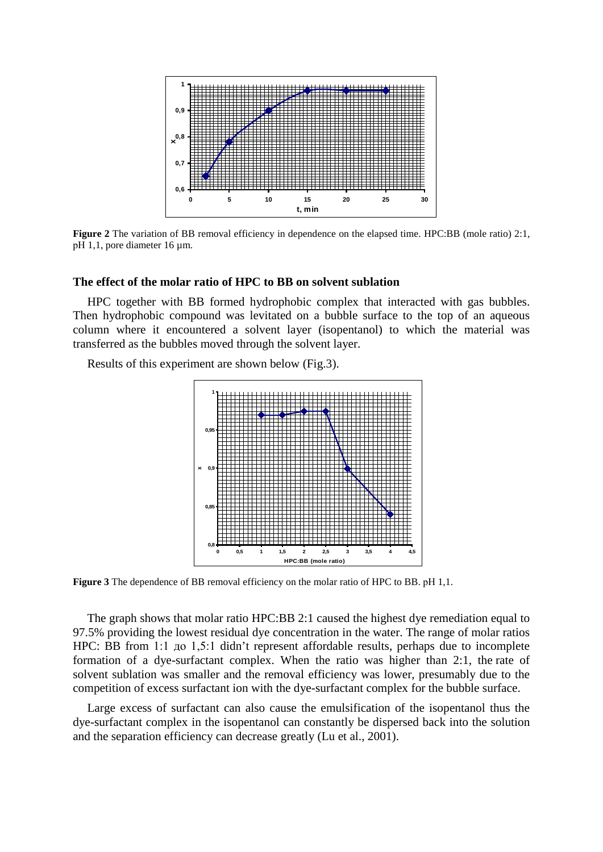

**Figure 2** The variation of BB removal efficiency in dependence on the elapsed time. HPC:BB (mole ratio) 2:1, рН 1,1, pore diameter 16 µm.

## **The effect of the molar ratio of HPC to BB on solvent sublation**

HPC together with BB formed hydrophobic complex that interacted with gas bubbles. Then hydrophobic compound was levitated on a bubble surface to the top of an aqueous column where it encountered a solvent layer (isopentanol) to which the material was transferred as the bubbles moved through the solvent layer.

Results of this experiment are shown below (Fig.3).



**Figure 3** The dependence of BB removal efficiency on the molar ratio of HPC to BB. рН 1,1.

The graph shows that molar ratio HPC:BB 2:1 caused the highest dye remediation equal to 97.5% providing the lowest residual dye concentration in the water. The range of molar ratios HPC: BB from 1:1 до 1,5:1 didn't represent affordable results, perhaps due to incomplete formation of a dye-surfactant complex. When the ratio was higher than 2:1, the rate of solvent sublation was smaller and the removal efficiency was lower, presumably due to the competition of excess surfactant ion with the dye-surfactant complex for the bubble surface.

Large excess of surfactant can also cause the emulsification of the isopentanol thus the dye-surfactant complex in the isopentanol can constantly be dispersed back into the solution and the separation efficiency can decrease greatly (Lu et al., 2001).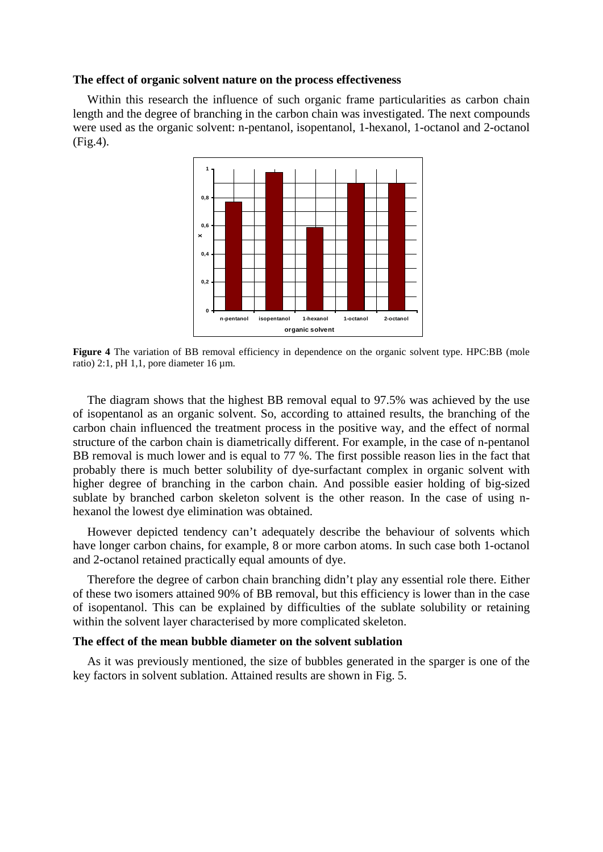## **The effect of organic solvent nature on the process effectiveness**

Within this research the influence of such organic frame particularities as carbon chain length and the degree of branching in the carbon chain was investigated. The next compounds were used as the organic solvent: n-pentanol, isopentanol, 1-hexanol, 1-octanol and 2-octanol (Fig.4).



**Figure** 4 The variation of BB removal efficiency in dependence on the organic solvent type. HPC:BB (mole ratio) 2:1, pH 1,1, pore diameter  $16 \text{ µm}$ .

The diagram shows that the highest BB removal equal to 97.5% was achieved by the use of isopentanol as an organic solvent. So, according to attained results, the branching of the carbon chain influenced the treatment process in the positive way, and the effect of normal structure of the carbon chain is diametrically different. For example, in the case of n-pentanol BB removal is much lower and is equal to 77 %. The first possible reason lies in the fact that probably there is much better solubility of dye-surfactant complex in organic solvent with higher degree of branching in the carbon chain. And possible easier holding of big-sized sublate by branched carbon skeleton solvent is the other reason. In the case of using nhexanol the lowest dye elimination was obtained.

However depicted tendency can't adequately describe the behaviour of solvents which have longer carbon chains, for example, 8 or more carbon atoms. In such case both 1-octanol and 2-octanol retained practically equal amounts of dye.

Therefore the degree of carbon chain branching didn't play any essential role there. Either of these two isomers attained 90% of BB removal, but this efficiency is lower than in the case of isopentanol. This can be explained by difficulties of the sublate solubility or retaining within the solvent layer characterised by more complicated skeleton.

## **The effect of the mean bubble diameter on the solvent sublation**

As it was previously mentioned, the size of bubbles generated in the sparger is one of the key factors in solvent sublation. Attained results are shown in Fig. 5.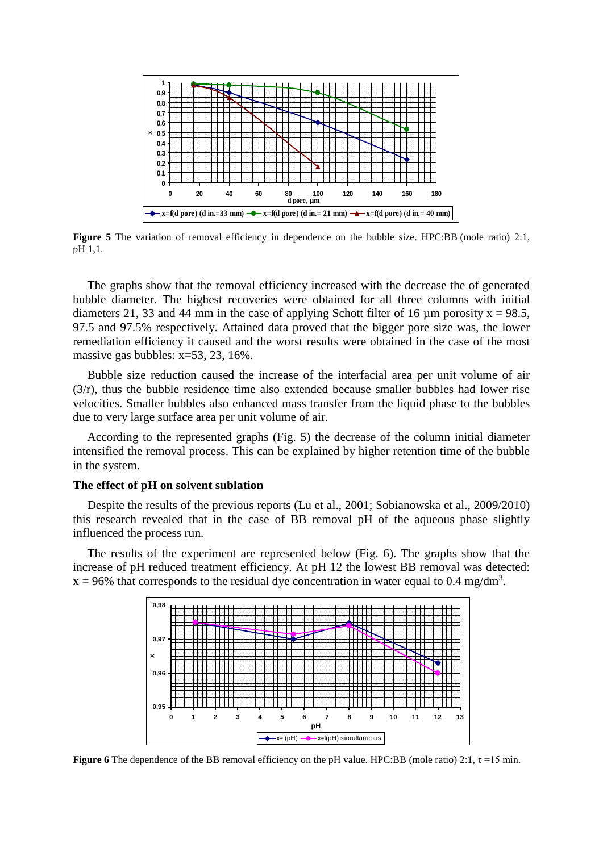

**Figure 5** The variation of removal efficiency in dependence on the bubble size. HPC:BB (mole ratio) 2:1, рН 1,1.

The graphs show that the removal efficiency increased with the decrease the of generated bubble diameter. The highest recoveries were obtained for all three columns with initial diameters 21, 33 and 44 mm in the case of applying Schott filter of 16  $\mu$ m porosity x = 98.5, 97.5 and 97.5% respectively. Attained data proved that the bigger pore size was, the lower remediation efficiency it caused and the worst results were obtained in the case of the most massive gas bubbles: x=53, 23, 16%.

Bubble size reduction caused the increase of the interfacial area per unit volume of air (3/r), thus the bubble residence time also extended because smaller bubbles had lower rise velocities. Smaller bubbles also enhanced mass transfer from the liquid phase to the bubbles due to very large surface area per unit volume of air.

According to the represented graphs (Fig. 5) the decrease of the column initial diameter intensified the removal process. This can be explained by higher retention time of the bubble in the system.

## **The effect of pH on solvent sublation**

Despite the results of the previous reports (Lu et al., 2001; Sobianowska et al., 2009/2010) this research revealed that in the case of BB removal pH of the aqueous phase slightly influenced the process run.

The results of the experiment are represented below (Fig. 6). The graphs show that the increase of pH reduced treatment efficiency. At pH 12 the lowest BB removal was detected:  $x = 96\%$  that corresponds to the residual dye concentration in water equal to 0.4 mg/dm<sup>3</sup>.



**Figure 6** The dependence of the BB removal efficiency on the pH value. HPC:BB (mole ratio) 2:1,  $\tau$ =15 min.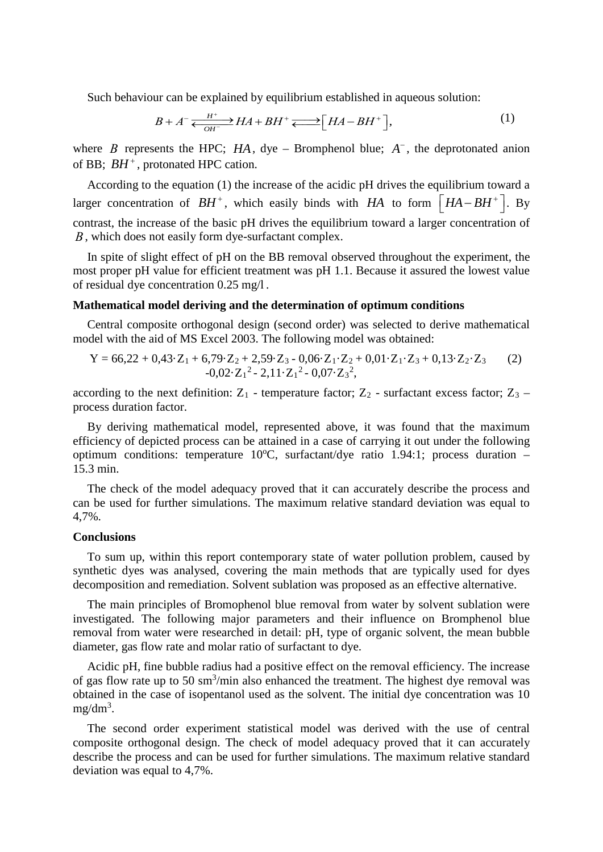Such behaviour can be explained by equilibrium established in aqueous solution:

$$
B + A^{-} \underbrace{H^{+}}_{OH^{-}} H A + BH^{+} \underbrace{\longrightarrow} [HA - BH^{+}], \tag{1}
$$

where *B* represents the HPC; *HA*, dye – Bromphenol blue;  $A^-$ , the deprotonated anion of BB;  $BH^+$ , protonated HPC cation.

According to the equation (1) the increase of the acidic pH drives the equilibrium toward a larger concentration of  $BH^+$ , which easily binds with *HA* to form  $\left[HA-BH^+\right]$ . By contrast, the increase of the basic pH drives the equilibrium toward a larger concentration of *В*, which does not easily form dye-surfactant complex.

In spite of slight effect of pH on the BB removal observed throughout the experiment, the most proper pH value for efficient treatment was pH 1.1. Because it assured the lowest value of residual dye concentration 0.25 mg/l .

## **Mathematical model deriving and the determination of optimum conditions**

Central composite orthogonal design (second order) was selected to derive mathematical model with the aid of MS Excel 2003. The following model was obtained:

$$
Y = 66,22 + 0,43 \cdot Z_1 + 6,79 \cdot Z_2 + 2,59 \cdot Z_3 - 0,06 \cdot Z_1 \cdot Z_2 + 0,01 \cdot Z_1 \cdot Z_3 + 0,13 \cdot Z_2 \cdot Z_3
$$
  
-0,02 \cdot Z\_1<sup>2</sup> - 2,11 \cdot Z\_1<sup>2</sup> - 0,07 \cdot Z\_3<sup>2</sup>, (2)

according to the next definition:  $Z_1$  - temperature factor;  $Z_2$  - surfactant excess factor;  $Z_3$  – process duration factor.

By deriving mathematical model, represented above, it was found that the maximum efficiency of depicted process can be attained in a case of carrying it out under the following optimum conditions: temperature 10°C, surfactant/dye ratio 1.94:1; process duration -15.3 min.

The check of the model adequacy proved that it can accurately describe the process and can be used for further simulations. The maximum relative standard deviation was equal to 4,7%.

## **Conclusions**

To sum up, within this report contemporary state of water pollution problem, caused by synthetic dyes was analysed, covering the main methods that are typically used for dyes decomposition and remediation. Solvent sublation was proposed as an effective alternative.

The main principles of Bromophenol blue removal from water by solvent sublation were investigated. The following major parameters and their influence on Bromphenol blue removal from water were researched in detail: pH, type of organic solvent, the mean bubble diameter, gas flow rate and molar ratio of surfactant to dye.

Acidic pH, fine bubble radius had a positive effect on the removal efficiency. The increase of gas flow rate up to 50  $\text{sm}^3/\text{min}$  also enhanced the treatment. The highest dye removal was obtained in the case of isopentanol used as the solvent. The initial dye concentration was 10  $mg/dm^3$ .

The second order experiment statistical model was derived with the use of central composite orthogonal design. The check of model adequacy proved that it can accurately describe the process and can be used for further simulations. The maximum relative standard deviation was equal to 4,7%.